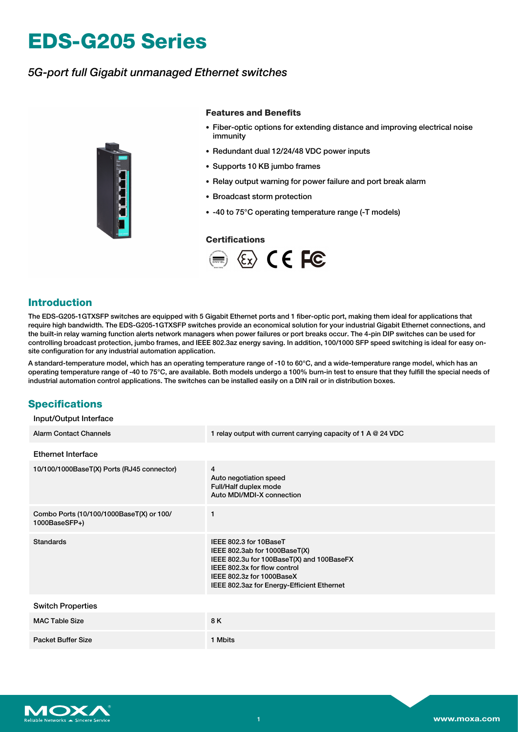# **EDS-G205 Series**

## *5G-port full Gigabit unmanaged Ethernet switches*



#### **Features and Benefits**

- Fiber-optic options for extending distance and improving electrical noise immunity
- Redundant dual 12/24/48 VDC power inputs
- Supports 10 KB jumbo frames
- Relay output warning for power failure and port break alarm
- Broadcast storm protection
- -40 to 75°C operating temperature range (-T models)

#### **Certifications**



#### **Introduction**

The EDS-G205-1GTXSFP switches are equipped with 5 Gigabit Ethernet ports and 1 fiber-optic port, making them ideal for applications that require high bandwidth. The EDS-G205-1GTXSFP switches provide an economical solution for your industrial Gigabit Ethernet connections, and the built-in relay warning function alerts network managers when power failures or port breaks occur. The 4-pin DIP switches can be used for controlling broadcast protection, jumbo frames, and IEEE 802.3az energy saving. In addition, 100/1000 SFP speed switching is ideal for easy onsite configuration for any industrial automation application.

A standard-temperature model, which has an operating temperature range of -10 to 60°C, and a wide-temperature range model, which has an operating temperature range of -40 to 75°C, are available. Both models undergo a 100% burn-in test to ensure that they fulfill the special needs of industrial automation control applications. The switches can be installed easily on a DIN rail or in distribution boxes.

## **Specifications**

 $I \cap I$   $\cap$  interface Interface

| mpuu vuupuu mieriace                                      |                                                                                                                                                                                                                 |
|-----------------------------------------------------------|-----------------------------------------------------------------------------------------------------------------------------------------------------------------------------------------------------------------|
| <b>Alarm Contact Channels</b>                             | 1 relay output with current carrying capacity of 1 A @ 24 VDC                                                                                                                                                   |
| <b>Ethernet Interface</b>                                 |                                                                                                                                                                                                                 |
| 10/100/1000BaseT(X) Ports (RJ45 connector)                | 4<br>Auto negotiation speed<br>Full/Half duplex mode<br>Auto MDI/MDI-X connection                                                                                                                               |
| Combo Ports (10/100/1000BaseT(X) or 100/<br>1000BaseSFP+) | 1                                                                                                                                                                                                               |
| <b>Standards</b>                                          | IEEE 802.3 for 10BaseT<br>IEEE 802.3ab for 1000BaseT(X)<br>IEEE 802.3u for 100BaseT(X) and 100BaseFX<br>IEEE 802.3x for flow control<br>IEEE 802.3z for 1000BaseX<br>IEEE 802.3az for Energy-Efficient Ethernet |
| <b>Switch Properties</b>                                  |                                                                                                                                                                                                                 |
| <b>MAC Table Size</b>                                     | 8 K                                                                                                                                                                                                             |
| <b>Packet Buffer Size</b>                                 | 1 Mbits                                                                                                                                                                                                         |

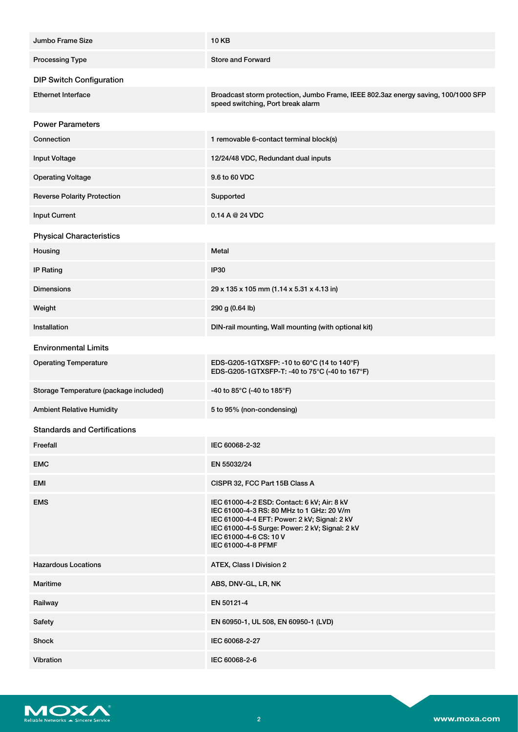| Jumbo Frame Size                       | <b>10 KB</b>                                                                                                                                                                                                                               |
|----------------------------------------|--------------------------------------------------------------------------------------------------------------------------------------------------------------------------------------------------------------------------------------------|
| <b>Processing Type</b>                 | <b>Store and Forward</b>                                                                                                                                                                                                                   |
| <b>DIP Switch Configuration</b>        |                                                                                                                                                                                                                                            |
| <b>Ethernet Interface</b>              | Broadcast storm protection, Jumbo Frame, IEEE 802.3az energy saving, 100/1000 SFP<br>speed switching, Port break alarm                                                                                                                     |
| <b>Power Parameters</b>                |                                                                                                                                                                                                                                            |
| Connection                             | 1 removable 6-contact terminal block(s)                                                                                                                                                                                                    |
| <b>Input Voltage</b>                   | 12/24/48 VDC, Redundant dual inputs                                                                                                                                                                                                        |
| <b>Operating Voltage</b>               | 9.6 to 60 VDC                                                                                                                                                                                                                              |
| <b>Reverse Polarity Protection</b>     | Supported                                                                                                                                                                                                                                  |
| <b>Input Current</b>                   | 0.14 A @ 24 VDC                                                                                                                                                                                                                            |
| <b>Physical Characteristics</b>        |                                                                                                                                                                                                                                            |
| Housing                                | Metal                                                                                                                                                                                                                                      |
| <b>IP Rating</b>                       | <b>IP30</b>                                                                                                                                                                                                                                |
| <b>Dimensions</b>                      | 29 x 135 x 105 mm (1.14 x 5.31 x 4.13 in)                                                                                                                                                                                                  |
| Weight                                 | 290 g (0.64 lb)                                                                                                                                                                                                                            |
| <b>Installation</b>                    | DIN-rail mounting, Wall mounting (with optional kit)                                                                                                                                                                                       |
| <b>Environmental Limits</b>            |                                                                                                                                                                                                                                            |
| <b>Operating Temperature</b>           | EDS-G205-1GTXSFP: -10 to 60°C (14 to 140°F)<br>EDS-G205-1GTXSFP-T: -40 to 75°C (-40 to 167°F)                                                                                                                                              |
| Storage Temperature (package included) | -40 to 85°C (-40 to 185°F)                                                                                                                                                                                                                 |
| <b>Ambient Relative Humidity</b>       | 5 to 95% (non-condensing)                                                                                                                                                                                                                  |
| <b>Standards and Certifications</b>    |                                                                                                                                                                                                                                            |
| Freefall                               | IEC 60068-2-32                                                                                                                                                                                                                             |
| <b>EMC</b>                             | EN 55032/24                                                                                                                                                                                                                                |
| EMI                                    | CISPR 32, FCC Part 15B Class A                                                                                                                                                                                                             |
| <b>EMS</b>                             | IEC 61000-4-2 ESD: Contact: 6 kV; Air: 8 kV<br>IEC 61000-4-3 RS: 80 MHz to 1 GHz: 20 V/m<br>IEC 61000-4-4 EFT: Power: 2 kV; Signal: 2 kV<br>IEC 61000-4-5 Surge: Power: 2 kV; Signal: 2 kV<br>IEC 61000-4-6 CS: 10 V<br>IEC 61000-4-8 PFMF |
| <b>Hazardous Locations</b>             | ATEX, Class I Division 2                                                                                                                                                                                                                   |
| Maritime                               | ABS, DNV-GL, LR, NK                                                                                                                                                                                                                        |
| Railway                                | EN 50121-4                                                                                                                                                                                                                                 |
| Safety                                 | EN 60950-1, UL 508, EN 60950-1 (LVD)                                                                                                                                                                                                       |
| Shock                                  | IEC 60068-2-27                                                                                                                                                                                                                             |
| Vibration                              | IEC 60068-2-6                                                                                                                                                                                                                              |

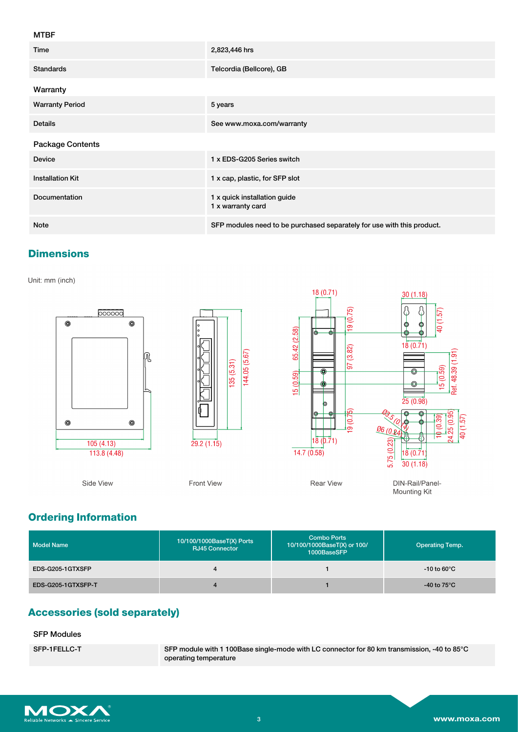#### MTBF

| Time                    | 2,823,446 hrs                                                          |
|-------------------------|------------------------------------------------------------------------|
| <b>Standards</b>        | Telcordia (Bellcore), GB                                               |
| Warranty                |                                                                        |
| <b>Warranty Period</b>  | 5 years                                                                |
| <b>Details</b>          | See www.moxa.com/warranty                                              |
| Package Contents        |                                                                        |
| <b>Device</b>           | 1 x EDS-G205 Series switch                                             |
| <b>Installation Kit</b> | 1 x cap, plastic, for SFP slot                                         |
| <b>Documentation</b>    | 1 x quick installation guide<br>1 x warranty card                      |
| <b>Note</b>             | SFP modules need to be purchased separately for use with this product. |

## **Dimensions**

Unit: mm (inch)



# **Ordering Information**

| <b>Model Name</b>  | 10/100/1000BaseT(X) Ports<br><b>RJ45 Connector</b> | <b>Combo Ports</b><br>10/100/1000BaseT(X) or 100/<br>1000BaseSFP | <b>Operating Temp.</b> |
|--------------------|----------------------------------------------------|------------------------------------------------------------------|------------------------|
| EDS-G205-1GTXSFP   | 4                                                  |                                                                  | -10 to 60 $^{\circ}$ C |
| EDS-G205-1GTXSFP-T | 4                                                  |                                                                  | -40 to 75 $^{\circ}$ C |

# **Accessories (sold separately)**

#### SFP Modules

SFP-1FELLC-T SFP module with 1 100Base single-mode with LC connector for 80 km transmission, -40 to 85°C operating temperature

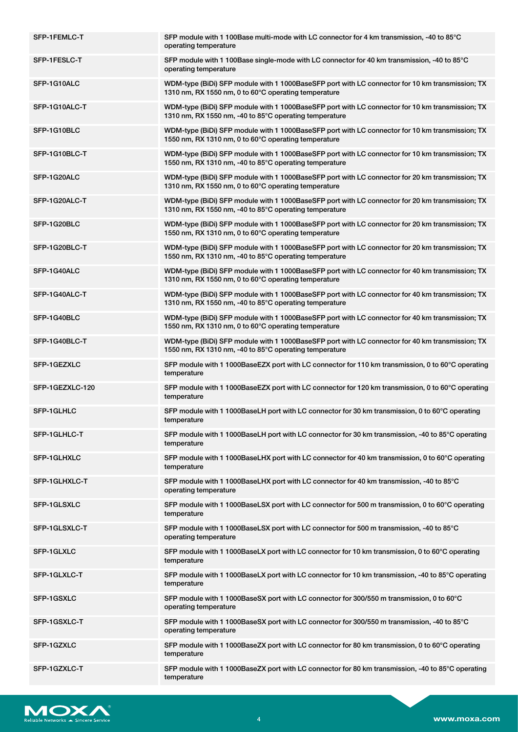| SFP-1FEMLC-T    | SFP module with 1 100Base multi-mode with LC connector for 4 km transmission, -40 to 85°C<br>operating temperature                                        |
|-----------------|-----------------------------------------------------------------------------------------------------------------------------------------------------------|
| SFP-1FESLC-T    | SFP module with 1 100Base single-mode with LC connector for 40 km transmission, -40 to 85°C<br>operating temperature                                      |
| SFP-1G10ALC     | WDM-type (BiDi) SFP module with 1 1000BaseSFP port with LC connector for 10 km transmission; TX<br>1310 nm, RX 1550 nm, 0 to 60°C operating temperature   |
| SFP-1G10ALC-T   | WDM-type (BiDi) SFP module with 1 1000BaseSFP port with LC connector for 10 km transmission; TX<br>1310 nm, RX 1550 nm, -40 to 85°C operating temperature |
| SFP-1G10BLC     | WDM-type (BiDi) SFP module with 1 1000BaseSFP port with LC connector for 10 km transmission; TX<br>1550 nm, RX 1310 nm, 0 to 60°C operating temperature   |
| SFP-1G10BLC-T   | WDM-type (BiDi) SFP module with 1 1000BaseSFP port with LC connector for 10 km transmission; TX<br>1550 nm, RX 1310 nm, -40 to 85°C operating temperature |
| SFP-1G20ALC     | WDM-type (BiDi) SFP module with 1 1000BaseSFP port with LC connector for 20 km transmission; TX<br>1310 nm, RX 1550 nm, 0 to 60°C operating temperature   |
| SFP-1G20ALC-T   | WDM-type (BiDi) SFP module with 1 1000BaseSFP port with LC connector for 20 km transmission; TX<br>1310 nm, RX 1550 nm, -40 to 85°C operating temperature |
| SFP-1G20BLC     | WDM-type (BiDi) SFP module with 1 1000BaseSFP port with LC connector for 20 km transmission; TX<br>1550 nm, RX 1310 nm, 0 to 60°C operating temperature   |
| SFP-1G20BLC-T   | WDM-type (BiDi) SFP module with 1 1000BaseSFP port with LC connector for 20 km transmission; TX<br>1550 nm, RX 1310 nm, -40 to 85°C operating temperature |
| SFP-1G40ALC     | WDM-type (BiDi) SFP module with 1 1000BaseSFP port with LC connector for 40 km transmission; TX<br>1310 nm, RX 1550 nm, 0 to 60°C operating temperature   |
| SFP-1G40ALC-T   | WDM-type (BiDi) SFP module with 1 1000BaseSFP port with LC connector for 40 km transmission; TX<br>1310 nm, RX 1550 nm, -40 to 85°C operating temperature |
| SFP-1G40BLC     | WDM-type (BiDi) SFP module with 1 1000BaseSFP port with LC connector for 40 km transmission; TX<br>1550 nm, RX 1310 nm, 0 to 60°C operating temperature   |
| SFP-1G40BLC-T   | WDM-type (BiDi) SFP module with 1 1000BaseSFP port with LC connector for 40 km transmission; TX<br>1550 nm, RX 1310 nm, -40 to 85°C operating temperature |
| SFP-1GEZXLC     | SFP module with 1 1000BaseEZX port with LC connector for 110 km transmission, 0 to 60°C operating<br>temperature                                          |
| SFP-1GEZXLC-120 | SFP module with 1 1000BaseEZX port with LC connector for 120 km transmission, 0 to 60°C operating<br>temperature                                          |
| SFP-1GLHLC      | SFP module with 1 1000BaseLH port with LC connector for 30 km transmission, 0 to 60°C operating<br>temperature                                            |
| SFP-1GLHLC-T    | SFP module with 1 1000BaseLH port with LC connector for 30 km transmission, -40 to 85°C operating<br>temperature                                          |
| SFP-1GLHXLC     | SFP module with 1 1000BaseLHX port with LC connector for 40 km transmission, 0 to 60°C operating<br>temperature                                           |
| SFP-1GLHXLC-T   | SFP module with 1 1000BaseLHX port with LC connector for 40 km transmission, -40 to 85°C<br>operating temperature                                         |
| SFP-1GLSXLC     | SFP module with 1 1000BaseLSX port with LC connector for 500 m transmission, 0 to 60°C operating<br>temperature                                           |
| SFP-1GLSXLC-T   | SFP module with 1 1000BaseLSX port with LC connector for 500 m transmission, -40 to 85°C<br>operating temperature                                         |
| SFP-1GLXLC      | SFP module with 1 1000BaseLX port with LC connector for 10 km transmission, 0 to 60°C operating<br>temperature                                            |
| SFP-1GLXLC-T    | SFP module with 1 1000BaseLX port with LC connector for 10 km transmission, -40 to 85°C operating<br>temperature                                          |
| SFP-1GSXLC      | SFP module with 1 1000BaseSX port with LC connector for 300/550 m transmission, 0 to 60°C<br>operating temperature                                        |
| SFP-1GSXLC-T    | SFP module with 1 1000BaseSX port with LC connector for 300/550 m transmission, -40 to 85°C<br>operating temperature                                      |
| SFP-1GZXLC      | SFP module with 1 1000BaseZX port with LC connector for 80 km transmission, 0 to 60°C operating<br>temperature                                            |
| SFP-1GZXLC-T    | SFP module with 1 1000BaseZX port with LC connector for 80 km transmission, -40 to 85°C operating<br>temperature                                          |